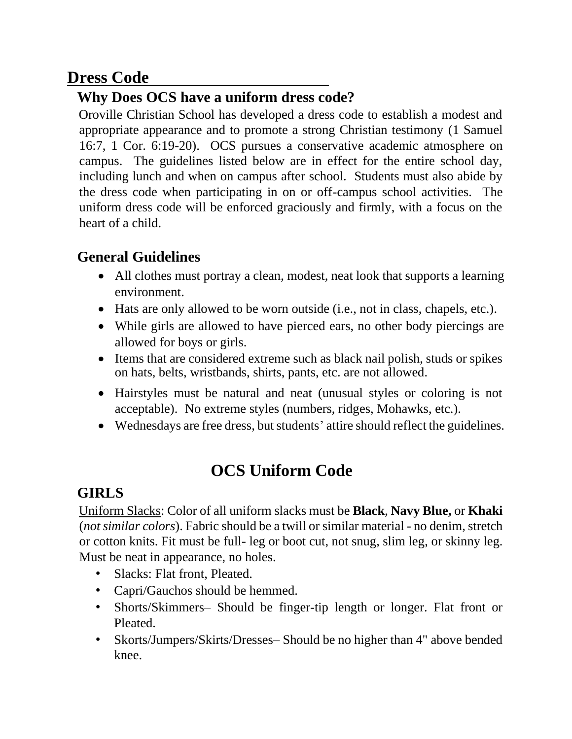## **Dress Code**

## **Why Does OCS have a uniform dress code?**

Oroville Christian School has developed a dress code to establish a modest and appropriate appearance and to promote a strong Christian testimony (1 Samuel 16:7, 1 Cor. 6:19-20). OCS pursues a conservative academic atmosphere on campus. The guidelines listed below are in effect for the entire school day, including lunch and when on campus after school. Students must also abide by the dress code when participating in on or off-campus school activities. The uniform dress code will be enforced graciously and firmly, with a focus on the heart of a child.

## **General Guidelines**

- All clothes must portray a clean, modest, neat look that supports a learning environment.
- Hats are only allowed to be worn outside (i.e., not in class, chapels, etc.).
- While girls are allowed to have pierced ears, no other body piercings are allowed for boys or girls.
- Items that are considered extreme such as black nail polish, studs or spikes on hats, belts, wristbands, shirts, pants, etc. are not allowed.
- Hairstyles must be natural and neat (unusual styles or coloring is not acceptable). No extreme styles (numbers, ridges, Mohawks, etc.).
- Wednesdays are free dress, but students' attire should reflect the guidelines.

# **OCS Uniform Code**

## **GIRLS**

Uniform Slacks: Color of all uniform slacks must be **Black**, **Navy Blue,** or **Khaki**  (*not similar colors*). Fabric should be a twill or similar material - no denim, stretch or cotton knits. Fit must be full- leg or boot cut, not snug, slim leg, or skinny leg. Must be neat in appearance, no holes.

- Slacks: Flat front, Pleated.
- Capri/Gauchos should be hemmed.
- Shorts/Skimmers– Should be finger-tip length or longer. Flat front or Pleated.
- Skorts/Jumpers/Skirts/Dresses– Should be no higher than 4" above bended knee.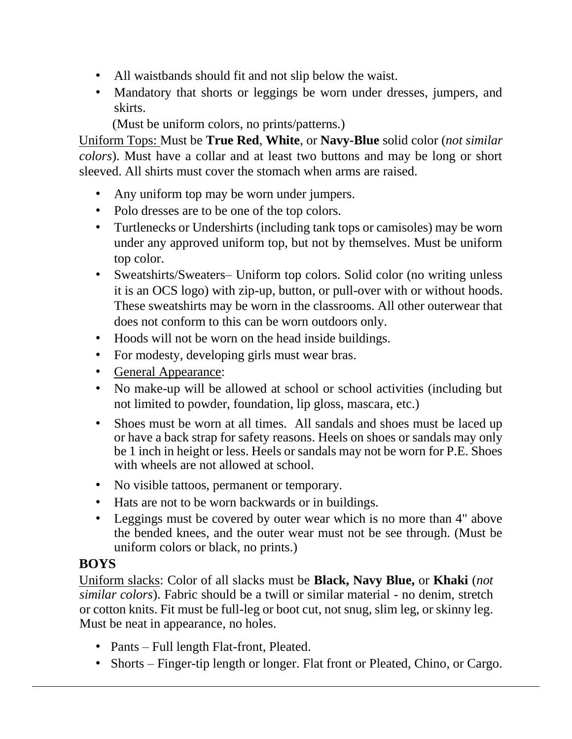- All waistbands should fit and not slip below the waist.
- Mandatory that shorts or leggings be worn under dresses, jumpers, and skirts.

(Must be uniform colors, no prints/patterns.)

Uniform Tops: Must be **True Red**, **White**, or **Navy-Blue** solid color (*not similar colors*). Must have a collar and at least two buttons and may be long or short sleeved. All shirts must cover the stomach when arms are raised.

- Any uniform top may be worn under jumpers.
- Polo dresses are to be one of the top colors.
- Turtlenecks or Undershirts (including tank tops or camisoles) may be worn under any approved uniform top, but not by themselves. Must be uniform top color.
- Sweatshirts/Sweaters– Uniform top colors. Solid color (no writing unless it is an OCS logo) with zip-up, button, or pull-over with or without hoods. These sweatshirts may be worn in the classrooms. All other outerwear that does not conform to this can be worn outdoors only.
- Hoods will not be worn on the head inside buildings.
- For modesty, developing girls must wear bras.
- General Appearance:
- No make-up will be allowed at school or school activities (including but not limited to powder, foundation, lip gloss, mascara, etc.)
- Shoes must be worn at all times. All sandals and shoes must be laced up or have a back strap for safety reasons. Heels on shoes or sandals may only be 1 inch in height or less. Heels or sandals may not be worn for P.E. Shoes with wheels are not allowed at school.
- No visible tattoos, permanent or temporary.
- Hats are not to be worn backwards or in buildings.
- Leggings must be covered by outer wear which is no more than 4" above the bended knees, and the outer wear must not be see through. (Must be uniform colors or black, no prints.)

### **BOYS**

Uniform slacks: Color of all slacks must be **Black, Navy Blue,** or **Khaki** (*not similar colors*). Fabric should be a twill or similar material - no denim, stretch or cotton knits. Fit must be full-leg or boot cut, not snug, slim leg, or skinny leg. Must be neat in appearance, no holes.

- Pants Full length Flat-front, Pleated.
- Shorts Finger-tip length or longer. Flat front or Pleated, Chino, or Cargo.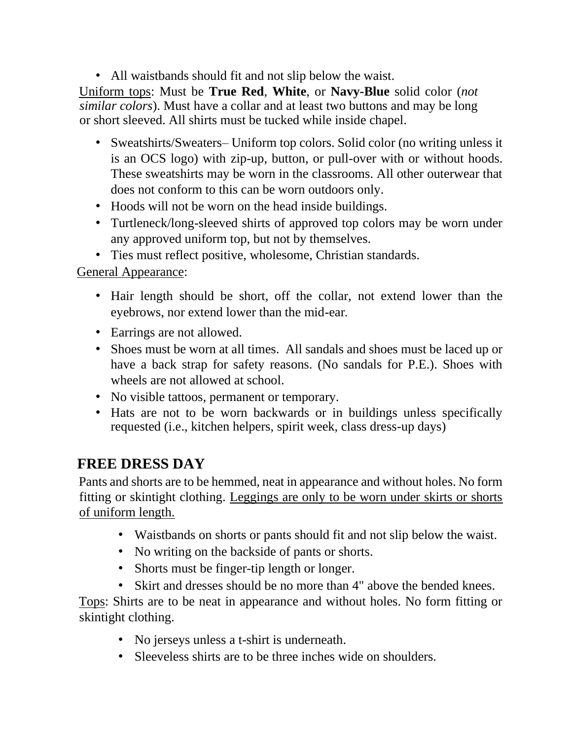• All waistbands should fit and not slip below the waist.

Uniform tops: Must be **True Red**, **White**, or **Navy-Blue** solid color (*not similar colors*). Must have a collar and at least two buttons and may be long or short sleeved. All shirts must be tucked while inside chapel.

- Sweatshirts/Sweaters– Uniform top colors. Solid color (no writing unless it is an OCS logo) with zip-up, button, or pull-over with or without hoods. These sweatshirts may be worn in the classrooms. All other outerwear that does not conform to this can be worn outdoors only.
- Hoods will not be worn on the head inside buildings.
- Turtleneck/long-sleeved shirts of approved top colors may be worn under any approved uniform top, but not by themselves.
- Ties must reflect positive, wholesome, Christian standards.

General Appearance:

- Hair length should be short, off the collar, not extend lower than the eyebrows, nor extend lower than the mid-ear.
- Earrings are not allowed.
- Shoes must be worn at all times. All sandals and shoes must be laced up or have a back strap for safety reasons. (No sandals for P.E.). Shoes with wheels are not allowed at school.
- No visible tattoos, permanent or temporary.
- Hats are not to be worn backwards or in buildings unless specifically requested (i.e., kitchen helpers, spirit week, class dress-up days)

## **FREE DRESS DAY**

Pants and shorts are to be hemmed, neat in appearance and without holes. No form fitting or skintight clothing. Leggings are only to be worn under skirts or shorts of uniform length.

- Waistbands on shorts or pants should fit and not slip below the waist.
- No writing on the backside of pants or shorts.
- Shorts must be finger-tip length or longer.
- Skirt and dresses should be no more than 4" above the bended knees.

Tops: Shirts are to be neat in appearance and without holes. No form fitting or skintight clothing.

- No jerseys unless a t-shirt is underneath.
- Sleeveless shirts are to be three inches wide on shoulders.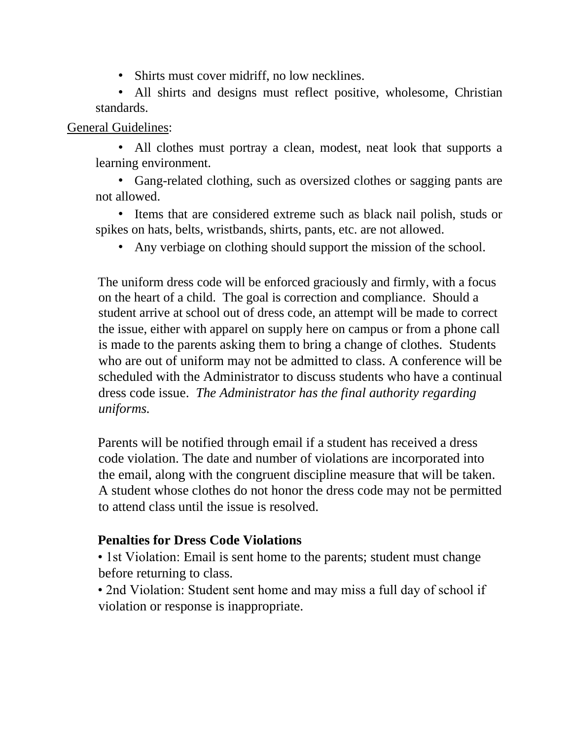• Shirts must cover midriff, no low necklines.

• All shirts and designs must reflect positive, wholesome, Christian standards.

#### General Guidelines:

• All clothes must portray a clean, modest, neat look that supports a learning environment.

• Gang-related clothing, such as oversized clothes or sagging pants are not allowed.

• Items that are considered extreme such as black nail polish, studs or spikes on hats, belts, wristbands, shirts, pants, etc. are not allowed.

• Any verbiage on clothing should support the mission of the school.

The uniform dress code will be enforced graciously and firmly, with a focus on the heart of a child. The goal is correction and compliance. Should a student arrive at school out of dress code, an attempt will be made to correct the issue, either with apparel on supply here on campus or from a phone call is made to the parents asking them to bring a change of clothes. Students who are out of uniform may not be admitted to class. A conference will be scheduled with the Administrator to discuss students who have a continual dress code issue. *The Administrator has the final authority regarding uniforms.*

Parents will be notified through email if a student has received a dress code violation. The date and number of violations are incorporated into the email, along with the congruent discipline measure that will be taken. A student whose clothes do not honor the dress code may not be permitted to attend class until the issue is resolved.

### **Penalties for Dress Code Violations**

• 1st Violation: Email is sent home to the parents; student must change before returning to class.

• 2nd Violation: Student sent home and may miss a full day of school if violation or response is inappropriate.